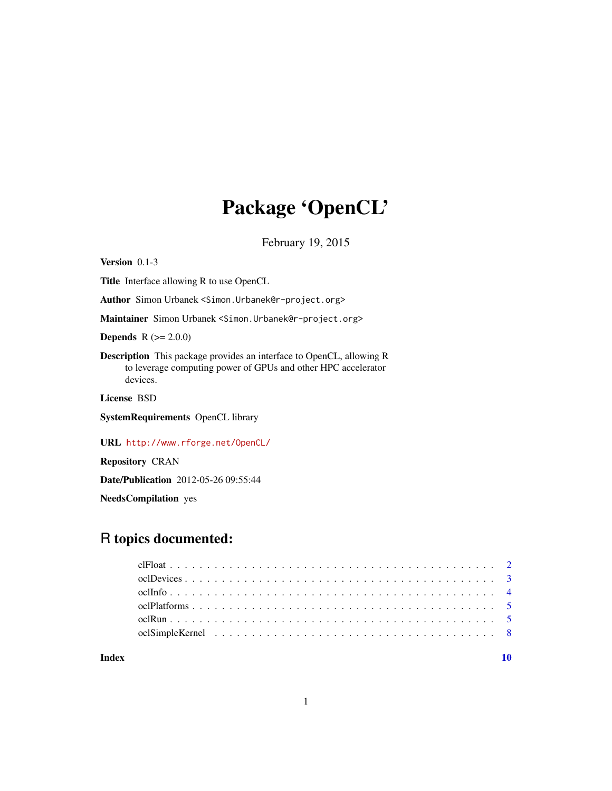# Package 'OpenCL'

February 19, 2015

<span id="page-0-0"></span>Version 0.1-3 Title Interface allowing R to use OpenCL Author Simon Urbanek <Simon.Urbanek@r-project.org> Maintainer Simon Urbanek <Simon.Urbanek@r-project.org> **Depends** R  $(>= 2.0.0)$ Description This package provides an interface to OpenCL, allowing R to leverage computing power of GPUs and other HPC accelerator devices. License BSD SystemRequirements OpenCL library URL <http://www.rforge.net/OpenCL/>

Repository CRAN

Date/Publication 2012-05-26 09:55:44

NeedsCompilation yes

# R topics documented:

 $\blacksquare$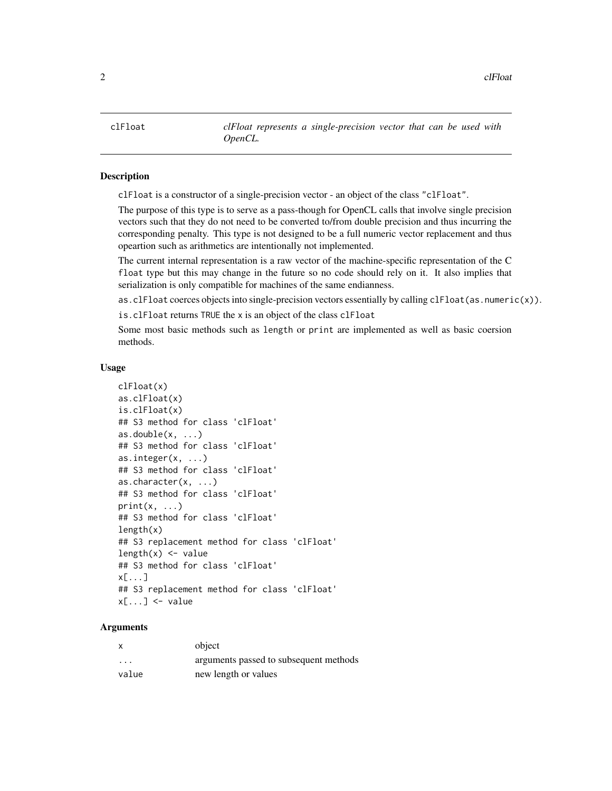<span id="page-1-1"></span><span id="page-1-0"></span>clFloat *clFloat represents a single-precision vector that can be used with OpenCL.*

#### Description

clFloat is a constructor of a single-precision vector - an object of the class "clFloat".

The purpose of this type is to serve as a pass-though for OpenCL calls that involve single precision vectors such that they do not need to be converted to/from double precision and thus incurring the corresponding penalty. This type is not designed to be a full numeric vector replacement and thus opeartion such as arithmetics are intentionally not implemented.

The current internal representation is a raw vector of the machine-specific representation of the C float type but this may change in the future so no code should rely on it. It also implies that serialization is only compatible for machines of the same endianness.

as.clFloat coerces objects into single-precision vectors essentially by calling clFloat(as.numeric(x)).

is.clFloat returns TRUE the x is an object of the class clFloat

Some most basic methods such as length or print are implemented as well as basic coersion methods.

#### Usage

```
clFloat(x)
as.clFloat(x)
is.clFloat(x)
## S3 method for class 'clFloat'
as.double(x, ...)## S3 method for class 'clFloat'
as.integer(x, ...)
## S3 method for class 'clFloat'
as.character(x, ...)
## S3 method for class 'clFloat'
print(x, \ldots)## S3 method for class 'clFloat'
length(x)## S3 replacement method for class 'clFloat'
length(x) <- value
## S3 method for class 'clFloat'
x[...]
## S3 replacement method for class 'clFloat'
x[\ldots] <- value
```
# **Arguments**

| $\boldsymbol{\mathsf{x}}$ | object                                 |
|---------------------------|----------------------------------------|
| $\cdot$ $\cdot$ $\cdot$   | arguments passed to subsequent methods |
| value                     | new length or values                   |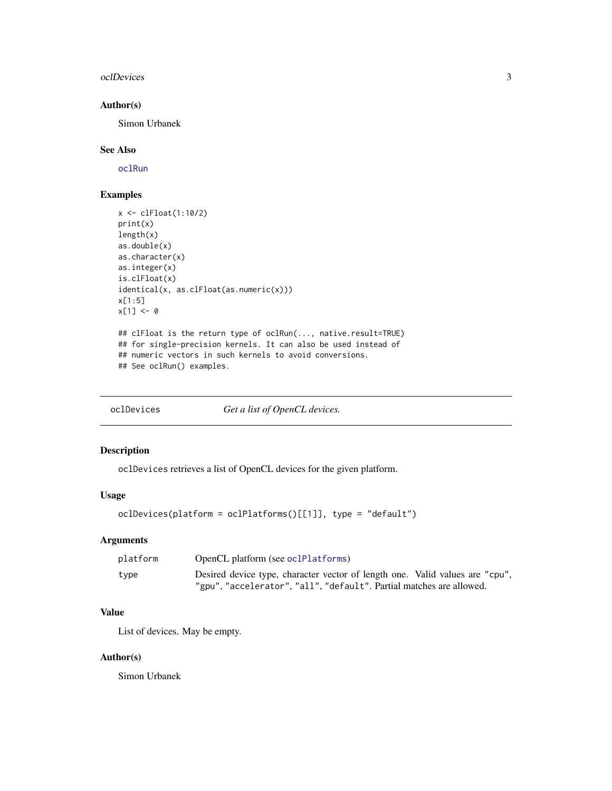#### <span id="page-2-0"></span>oclDevices 3

# Author(s)

Simon Urbanek

# See Also

[oclRun](#page-4-1)

#### Examples

```
x <- clFloat(1:10/2)
print(x)
length(x)
as.double(x)
as.character(x)
as.integer(x)
is.clFloat(x)
identical(x, as.clFloat(as.numeric(x)))
x[1:5]
x[1] < -0## clFloat is the return type of oclRun(..., native.result=TRUE)
## for single-precision kernels. It can also be used instead of
## numeric vectors in such kernels to avoid conversions.
## See oclRun() examples.
```
<span id="page-2-1"></span>oclDevices *Get a list of OpenCL devices.*

# Description

oclDevices retrieves a list of OpenCL devices for the given platform.

### Usage

```
oclDevices(platform = oclPlatforms()[[1]], type = "default")
```
#### Arguments

| platform | OpenCL platform (see oclPlatforms)                                           |
|----------|------------------------------------------------------------------------------|
| type     | Desired device type, character vector of length one. Valid values are "cpu", |
|          | "gpu", "accelerator", "all", "default". Partial matches are allowed.         |

# Value

List of devices. May be empty.

### Author(s)

Simon Urbanek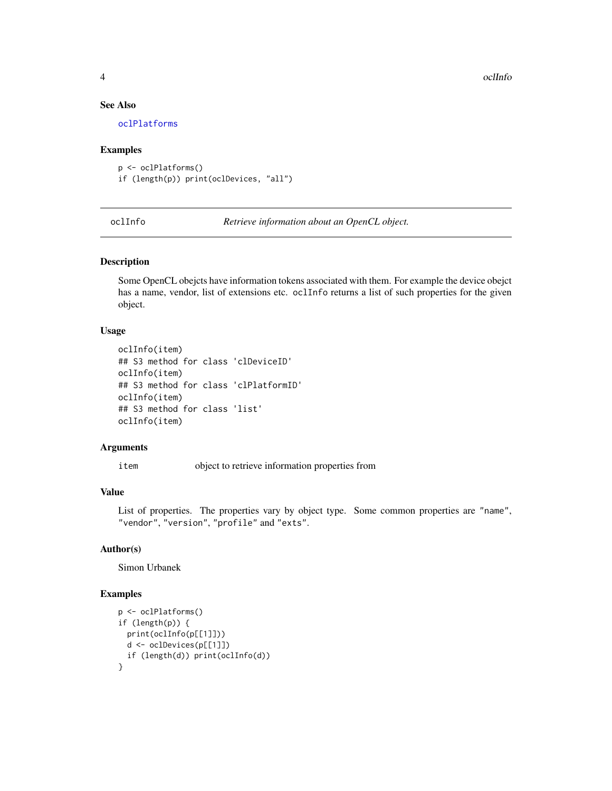4 oclinfo and the contract of the contract of the contract of the contract of the contract of the contract of the contract of the contract of the contract of the contract of the contract of the contract of the contract of

#### See Also

[oclPlatforms](#page-4-2)

#### Examples

```
p <- oclPlatforms()
if (length(p)) print(oclDevices, "all")
```
oclInfo *Retrieve information about an OpenCL object.*

#### Description

Some OpenCL obejcts have information tokens associated with them. For example the device obejct has a name, vendor, list of extensions etc. oclInfo returns a list of such properties for the given object.

#### Usage

```
oclInfo(item)
## S3 method for class 'clDeviceID'
oclInfo(item)
## S3 method for class 'clPlatformID'
oclInfo(item)
## S3 method for class 'list'
oclInfo(item)
```
#### Arguments

item object to retrieve information properties from

#### Value

List of properties. The properties vary by object type. Some common properties are "name", "vendor", "version", "profile" and "exts".

# Author(s)

Simon Urbanek

### Examples

```
p <- oclPlatforms()
if (length(p)) {
  print(oclInfo(p[[1]]))
  d <- oclDevices(p[[1]])
  if (length(d)) print(oclInfo(d))
}
```
<span id="page-3-0"></span>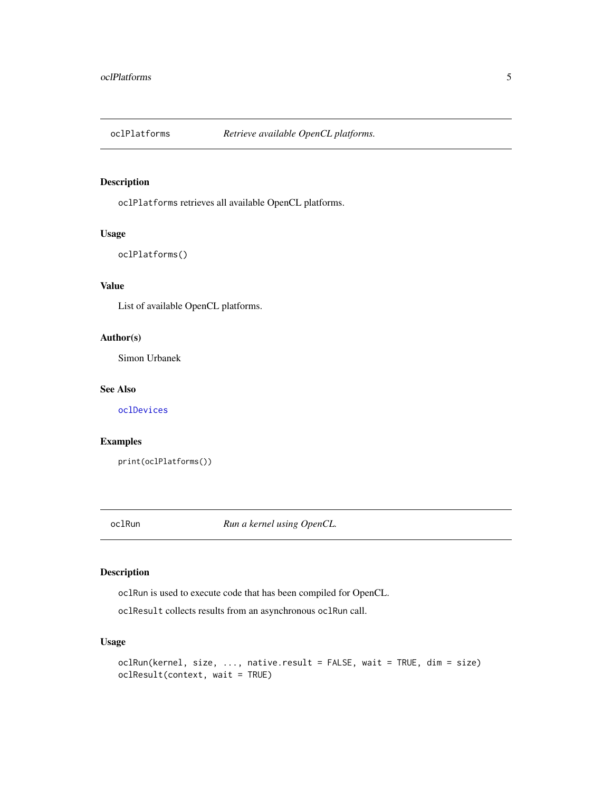<span id="page-4-2"></span><span id="page-4-0"></span>

#### Description

oclPlatforms retrieves all available OpenCL platforms.

#### Usage

oclPlatforms()

# Value

List of available OpenCL platforms.

#### Author(s)

Simon Urbanek

### See Also

[oclDevices](#page-2-1)

# Examples

print(oclPlatforms())

<span id="page-4-1"></span>oclRun *Run a kernel using OpenCL.*

# Description

oclRun is used to execute code that has been compiled for OpenCL.

oclResult collects results from an asynchronous oclRun call.

# Usage

```
oclRun(kernel, size, ..., native.result = FALSE, wait = TRUE, dim = size)
oclResult(context, wait = TRUE)
```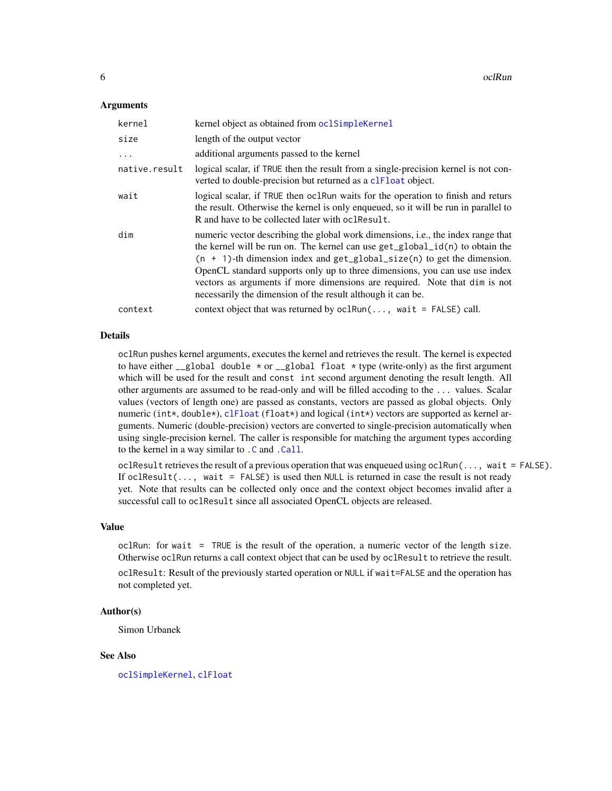#### <span id="page-5-0"></span>**Arguments**

| kernel        | kernel object as obtained from oclSimpleKernel                                                                                                                                                                                                                                                                                                                                                                                                                             |
|---------------|----------------------------------------------------------------------------------------------------------------------------------------------------------------------------------------------------------------------------------------------------------------------------------------------------------------------------------------------------------------------------------------------------------------------------------------------------------------------------|
| size          | length of the output vector                                                                                                                                                                                                                                                                                                                                                                                                                                                |
| $\ddots$      | additional arguments passed to the kernel                                                                                                                                                                                                                                                                                                                                                                                                                                  |
| native.result | logical scalar, if TRUE then the result from a single-precision kernel is not con-<br>verted to double-precision but returned as a clear object.                                                                                                                                                                                                                                                                                                                           |
| wait          | logical scalar, if TRUE then oclRun waits for the operation to finish and returs<br>the result. Otherwise the kernel is only enqueued, so it will be run in parallel to<br>R and have to be collected later with oclessult.                                                                                                                                                                                                                                                |
| dim           | numeric vector describing the global work dimensions, i.e., the index range that<br>the kernel will be run on. The kernel can use get_global_id(n) to obtain the<br>$(n + 1)$ -th dimension index and get_global_size(n) to get the dimension.<br>OpenCL standard supports only up to three dimensions, you can use use index<br>vectors as arguments if more dimensions are required. Note that dim is not<br>necessarily the dimension of the result although it can be. |
| context       | context object that was returned by $ocllrun(, wait = FALSE) call.$                                                                                                                                                                                                                                                                                                                                                                                                        |

# Details

oclRun pushes kernel arguments, executes the kernel and retrieves the result. The kernel is expected to have either  $\text{\_global double} * \text{or } \text{\_global float} * \text{type (write-only) as the first argument}$ which will be used for the result and const int second argument denoting the result length. All other arguments are assumed to be read-only and will be filled accoding to the ... values. Scalar values (vectors of length one) are passed as constants, vectors are passed as global objects. Only numeric (int\*, double\*), [clFloat](#page-1-1) (float\*) and logical (int\*) vectors are supported as kernel arguments. Numeric (double-precision) vectors are converted to single-precision automatically when using single-precision kernel. The caller is responsible for matching the argument types according to the kernel in a way similar to [.C](#page-0-0) and [.Call](#page-0-0).

oclResult retrieves the result of a previous operation that was enqueued using oclRun( $\dots$ , wait = FALSE). If oclResult( $\ldots$ , wait = FALSE) is used then NULL is returned in case the result is not ready yet. Note that results can be collected only once and the context object becomes invalid after a successful call to oclResult since all associated OpenCL objects are released.

#### Value

oclRun: for wait = TRUE is the result of the operation, a numeric vector of the length size. Otherwise oclRun returns a call context object that can be used by oclResult to retrieve the result. oclResult: Result of the previously started operation or NULL if wait=FALSE and the operation has not completed yet.

#### Author(s)

Simon Urbanek

#### See Also

[oclSimpleKernel](#page-7-1), [clFloat](#page-1-1)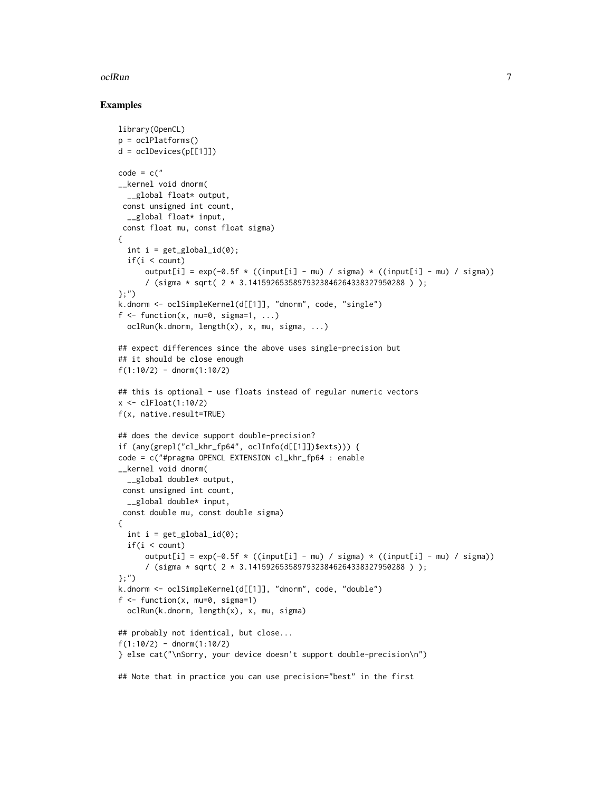#### $ocll$ Run  $\frac{1}{2}$

#### Examples

```
library(OpenCL)
p = oclPlatforms()
d = oc1Devices(p[[1]])
code = c("__kernel void dnorm(
  __global float* output,
 const unsigned int count,
  __global float* input,
 const float mu, const float sigma)
{
  int i = get_global_id(0);if(i < count)output[i] = exp(-0.5f \times ((input[i] - mu) / sigma) \times ((input[i] - mu) / sigma))/ (sigma * sqrt( 2 * 3.14159265358979323846264338327950288 ) );
};")
k.dnorm <- oclSimpleKernel(d[[1]], "dnorm", code, "single")
f \leftarrow function(x, mu=0, sigma=1, ...)oclRun(k.dnorm, length(x), x, mu, sigma, ...)
## expect differences since the above uses single-precision but
## it should be close enough
f(1:10/2) - \text{dnorm}(1:10/2)## this is optional - use floats instead of regular numeric vectors
x < -c1Float(1:10/2)f(x, native.result=TRUE)
## does the device support double-precision?
if (any(grepl("cl_khr_fp64", oclInfo(d[[1]])$exts))) {
code = c("#pragma OPENCL EXTENSION cl_khr_fp64 : enable
__kernel void dnorm(
  __global double* output,
 const unsigned int count,
  __global double* input,
 const double mu, const double sigma)
{
  int i = get_global_id(0);if(i < count)output[i] = exp(-0.5f \times ((input[i] - mu) / sigma) \times ((input[i] - mu) / sigma))/ (sigma * sqrt( 2 * 3.14159265358979323846264338327950288 ) );
};")
k.dnorm <- oclSimpleKernel(d[[1]], "dnorm", code, "double")
f \leftarrow function(x, mu=0, sigma=1)oclRun(k.dnorm, length(x), x, mu, sigma)
## probably not identical, but close...
f(1:10/2) - \text{dnorm}(1:10/2)} else cat("\nSorry, your device doesn't support double-precision\n")
## Note that in practice you can use precision="best" in the first
```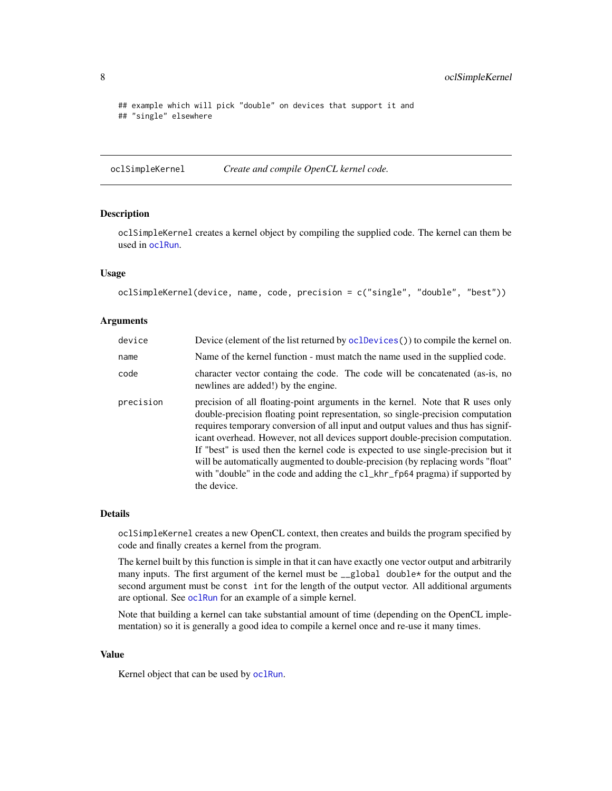```
## example which will pick "double" on devices that support it and
## "single" elsewhere
```
<span id="page-7-1"></span>oclSimpleKernel *Create and compile OpenCL kernel code.*

#### Description

oclSimpleKernel creates a kernel object by compiling the supplied code. The kernel can them be used in [oclRun](#page-4-1).

#### Usage

```
oclSimpleKernel(device, name, code, precision = c("single", "double", "best"))
```
#### Arguments

| device    | Device (element of the list returned by oclDevices()) to compile the kernel on.                                                                                                                                                                                                                                                                                                                                                                                                                                                                                                                                 |
|-----------|-----------------------------------------------------------------------------------------------------------------------------------------------------------------------------------------------------------------------------------------------------------------------------------------------------------------------------------------------------------------------------------------------------------------------------------------------------------------------------------------------------------------------------------------------------------------------------------------------------------------|
| name      | Name of the kernel function - must match the name used in the supplied code.                                                                                                                                                                                                                                                                                                                                                                                                                                                                                                                                    |
| code      | character vector containg the code. The code will be concatenated (as-is, no<br>newlines are added!) by the engine.                                                                                                                                                                                                                                                                                                                                                                                                                                                                                             |
| precision | precision of all floating-point arguments in the kernel. Note that R uses only<br>double-precision floating point representation, so single-precision computation<br>requires temporary conversion of all input and output values and thus has signif-<br>icant overhead. However, not all devices support double-precision computation.<br>If "best" is used then the kernel code is expected to use single-precision but it<br>will be automatically augmented to double-precision (by replacing words "float"<br>with "double" in the code and adding the cl_khr_fp64 pragma) if supported by<br>the device. |

#### Details

oclSimpleKernel creates a new OpenCL context, then creates and builds the program specified by code and finally creates a kernel from the program.

The kernel built by this function is simple in that it can have exactly one vector output and arbitrarily many inputs. The first argument of the kernel must be  $\angle$ global double\* for the output and the second argument must be const int for the length of the output vector. All additional arguments are optional. See [oclRun](#page-4-1) for an example of a simple kernel.

Note that building a kernel can take substantial amount of time (depending on the OpenCL implementation) so it is generally a good idea to compile a kernel once and re-use it many times.

### Value

Kernel object that can be used by [oclRun](#page-4-1).

<span id="page-7-0"></span>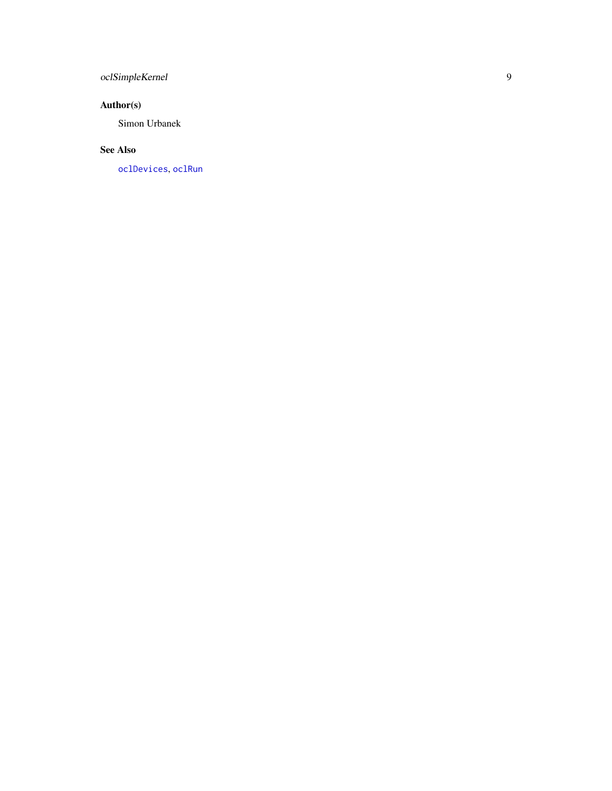# <span id="page-8-0"></span>oclSimpleKernel

# Author(s)

Simon Urbanek

# See Also

[oclDevices](#page-2-1) , [oclRun](#page-4-1)